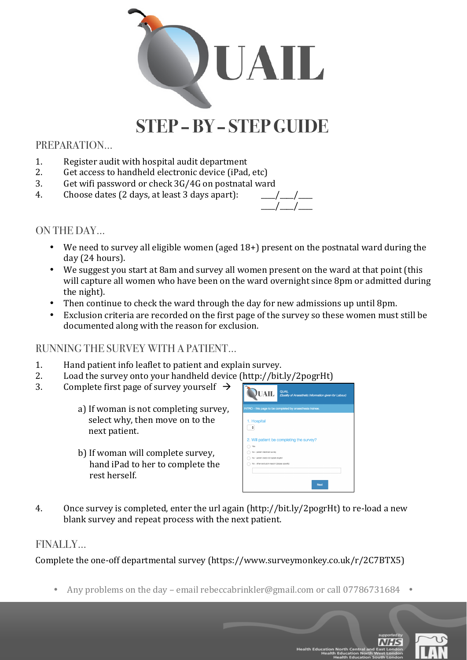

# **STEP –BY – STEP GUIDE**

### PREPARATION…

- 1. Register audit with hospital audit department
- 2. Get access to handheld electronic device (iPad, etc)
- 3. Get wifi password or check  $3G/4G$  on postnatal ward
- 4. Choose dates  $(2 \text{ days}, \text{ at least 3 days apart})$ :



#### ON THE DAY…

- We need to survey all eligible women (aged  $18+$ ) present on the postnatal ward during the day (24 hours).
- We suggest you start at 8am and survey all women present on the ward at that point (this will capture all women who have been on the ward overnight since 8pm or admitted during the night).
- Then continue to check the ward through the day for new admissions up until 8pm.
- Exclusion criteria are recorded on the first page of the survey so these women must still be documented along with the reason for exclusion.

#### RUNNING THE SURVEY WITH A PATIENT…

- 1. Hand patient info leaflet to patient and explain survey.
- 2. Load the survey onto your handheld device (http://bit.ly/2pogrHt)
- 3. Complete first page of survey yourself  $\rightarrow$ 
	- a) If woman is not completing survey, select why, then move on to the next patient.
	- b) If woman will complete survey, hand iPad to her to complete the rest herself.



4. Once survey is completed, enter the url again (http://bit.ly/2pogrHt) to re-load a new blank survey and repeat process with the next patient.

## FINALLY…

Complete the one-off departmental survey (https://www.surveymonkey.co.uk/r/2C7BTX5)

• Any problems on the day – email rebeccabrinkler@gmail.com or call 07786731684 •



**NHS**